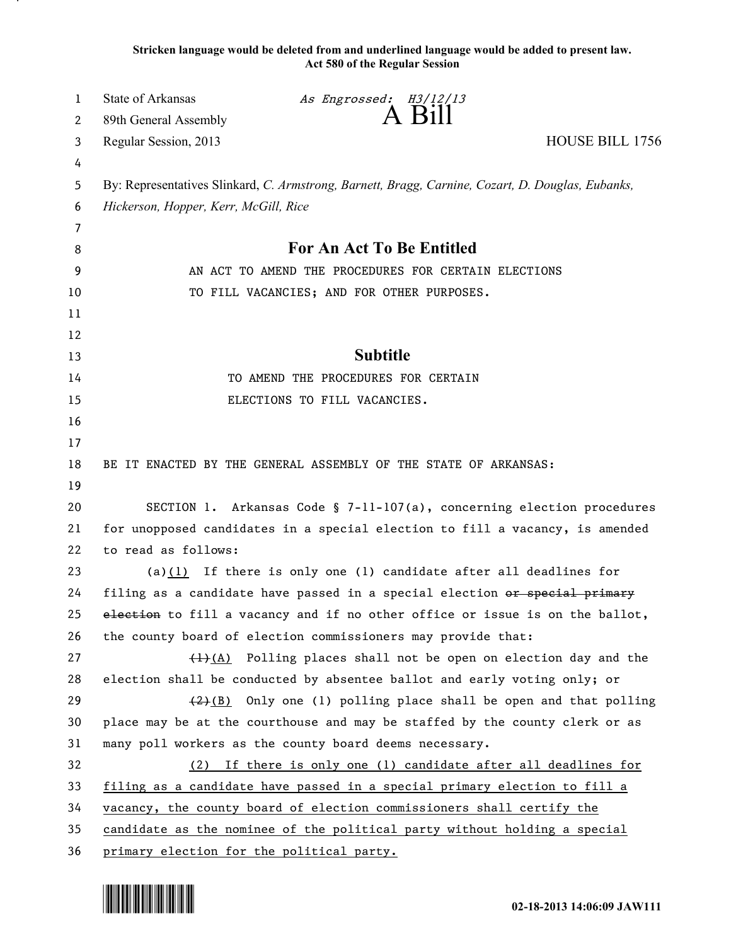**Stricken language would be deleted from and underlined language would be added to present law. Act 580 of the Regular Session**

| $A$ Bill<br>89th General Assembly<br>2<br>Regular Session, 2013<br>3<br>4<br>By: Representatives Slinkard, C. Armstrong, Barnett, Bragg, Carnine, Cozart, D. Douglas, Eubanks,<br>5<br>Hickerson, Hopper, Kerr, McGill, Rice<br>6 | HOUSE BILL 1756 |
|-----------------------------------------------------------------------------------------------------------------------------------------------------------------------------------------------------------------------------------|-----------------|
|                                                                                                                                                                                                                                   |                 |
|                                                                                                                                                                                                                                   |                 |
|                                                                                                                                                                                                                                   |                 |
|                                                                                                                                                                                                                                   |                 |
|                                                                                                                                                                                                                                   |                 |
| 7                                                                                                                                                                                                                                 |                 |
| For An Act To Be Entitled<br>8                                                                                                                                                                                                    |                 |
| AN ACT TO AMEND THE PROCEDURES FOR CERTAIN ELECTIONS<br>9                                                                                                                                                                         |                 |
| TO FILL VACANCIES; AND FOR OTHER PURPOSES.<br>10                                                                                                                                                                                  |                 |
| 11                                                                                                                                                                                                                                |                 |
| 12                                                                                                                                                                                                                                |                 |
| <b>Subtitle</b><br>13                                                                                                                                                                                                             |                 |
| 14<br>TO AMEND THE PROCEDURES FOR CERTAIN                                                                                                                                                                                         |                 |
| 15<br>ELECTIONS TO FILL VACANCIES.                                                                                                                                                                                                |                 |
| 16                                                                                                                                                                                                                                |                 |
| 17                                                                                                                                                                                                                                |                 |
| 18<br>BE IT ENACTED BY THE GENERAL ASSEMBLY OF THE STATE OF ARKANSAS:                                                                                                                                                             |                 |
| 19                                                                                                                                                                                                                                |                 |
| 20<br>SECTION 1. Arkansas Code § 7-11-107(a), concerning election procedures                                                                                                                                                      |                 |
| 21<br>for unopposed candidates in a special election to fill a vacancy, is amended                                                                                                                                                |                 |
| 22<br>to read as follows:                                                                                                                                                                                                         |                 |
| (a) $(1)$ If there is only one (1) candidate after all deadlines for<br>23                                                                                                                                                        |                 |
| 24<br>filing as a candidate have passed in a special election or special primary                                                                                                                                                  |                 |
| 25<br>election to fill a vacancy and if no other office or issue is on the ballot,                                                                                                                                                |                 |
| 26<br>the county board of election commissioners may provide that:                                                                                                                                                                |                 |
| 27<br>$\frac{1}{(4)}$ Polling places shall not be open on election day and the                                                                                                                                                    |                 |
| 28<br>election shall be conducted by absentee ballot and early voting only; or                                                                                                                                                    |                 |
| 29<br>$\frac{2}{2}(B)$ Only one (1) polling place shall be open and that polling                                                                                                                                                  |                 |
| 30<br>place may be at the courthouse and may be staffed by the county clerk or as                                                                                                                                                 |                 |
| 31<br>many poll workers as the county board deems necessary.                                                                                                                                                                      |                 |
| 32<br>(2) If there is only one (1) candidate after all deadlines for                                                                                                                                                              |                 |
| 33<br>filing as a candidate have passed in a special primary election to fill a<br>34<br>vacancy, the county board of election commissioners shall certify the                                                                    |                 |
| 35<br>candidate as the nominee of the political party without holding a special                                                                                                                                                   |                 |
| 36<br>primary election for the political party.                                                                                                                                                                                   |                 |